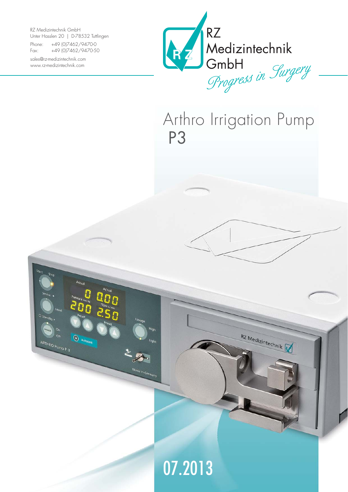RZ Medizintechnik GmbH Unter Hasslen 20 | D-78532 Tuttlingen

Actu-

<sup>O</sup> Autotest

 $z_{\mathcal{B}}$ 

Made in Germany

 $\overline{O}$ ARTHRO Pump P 3

Phone: +49 (0)7462/9470-0 Fax: +49 (0)7462/9470-50

sales@rz-medizintechnik.com www.rz-medizintechnik.com



Arthro Irrigation Pump P3



07.2013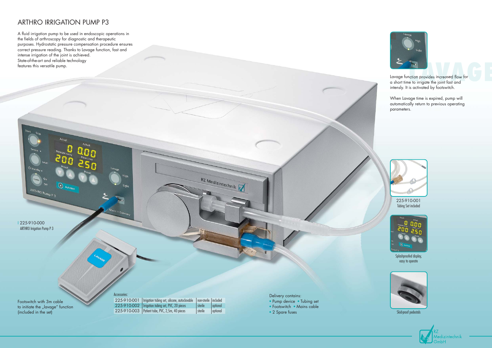## ARTHRO IRRIGATION PUMP P3

 $\odot$ 

A fluid irrigation pump to be used in endoscopic operations in the fields of arthroscopy for diagnostic and therapeutic purposes. Hydrostatic pressure compensation procedure ensures correct pressure reading. Thanks to Lavage function, fast and intense irrigation of the joint is achieved. State-of-the-art and reliable technology features this versatile pump.



Skid-proof pedestals





Splashproofed display, easy to operate

- Pump device Tubing set
- Footswitch Mains cable
- 2 Spare fuses





225-910-001 Tubing Set included

Lavage function provides increased flow for a short time to irrigate the joint fast and intensly. It is activated by footswitch.

When Lavage time is expired, pump will automatically return to previous operating parameters.

Footswitch with 3m cable to initiate the "lavage" function (included in the set)

I 225-910-000 ARTHRO Irrigation Pump P 3

ARTHRO Pump P 3

Delivery contains:

|  | 225-910-001   Irrigation tubing set, silicone, autoclavable | non-sterile   included |          |
|--|-------------------------------------------------------------|------------------------|----------|
|  | 225-910-002   Irrigation tubing set, PVC, 20 pieces         | l sterile              | optional |
|  | 225-910-003   Patient tube, PVC, 2,5m, 40 pieces            | sterile                | optional |

RZ Medizintechnik

Access